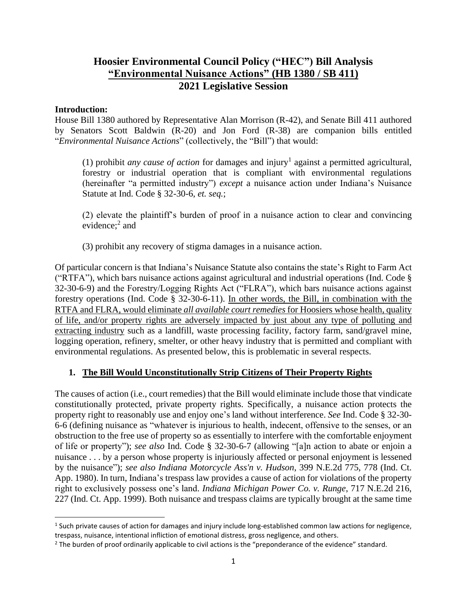# **Hoosier Environmental Council Policy ("HEC") Bill Analysis "Environmental Nuisance Actions" (HB 1380 / SB 411) 2021 Legislative Session**

## **Introduction:**

House Bill 1380 authored by Representative Alan Morrison (R-42), and Senate Bill 411 authored by Senators Scott Baldwin (R-20) and Jon Ford (R-38) are companion bills entitled "*Environmental Nuisance Actions*" (collectively, the "Bill") that would:

 $(1)$  prohibit *any cause of action* for damages and injury<sup>1</sup> against a permitted agricultural, forestry or industrial operation that is compliant with environmental regulations (hereinafter "a permitted industry") *except* a nuisance action under Indiana's Nuisance Statute at Ind. Code § 32-30-6, *et. seq.*;

(2) elevate the plaintiff's burden of proof in a nuisance action to clear and convincing evidence;<sup>2</sup> and

(3) prohibit any recovery of stigma damages in a nuisance action.

Of particular concern is that Indiana's Nuisance Statute also contains the state's Right to Farm Act ("RTFA"), which bars nuisance actions against agricultural and industrial operations (Ind. Code § 32-30-6-9) and the Forestry/Logging Rights Act ("FLRA"), which bars nuisance actions against forestry operations (Ind. Code § 32-30-6-11). In other words, the Bill, in combination with the RTFA and FLRA, would eliminate *all available court remedies* for Hoosiers whose health, quality of life, and/or property rights are adversely impacted by just about any type of polluting and extracting industry such as a landfill, waste processing facility, factory farm, sand/gravel mine, logging operation, refinery, smelter, or other heavy industry that is permitted and compliant with environmental regulations. As presented below, this is problematic in several respects.

# **1. The Bill Would Unconstitutionally Strip Citizens of Their Property Rights**

The causes of action (i.e., court remedies) that the Bill would eliminate include those that vindicate constitutionally protected, private property rights. Specifically, a nuisance action protects the property right to reasonably use and enjoy one's land without interference. *See* Ind. Code § 32-30- 6-6 (defining nuisance as "whatever is injurious to health, indecent, offensive to the senses, or an obstruction to the free use of property so as essentially to interfere with the comfortable enjoyment of life or property"); *see also* Ind. Code § 32-30-6-7 (allowing "[a]n action to abate or enjoin a nuisance . . . by a person whose property is injuriously affected or personal enjoyment is lessened by the nuisance"); *see also Indiana Motorcycle Ass'n v. Hudson*, 399 N.E.2d 775, 778 (Ind. Ct. App. 1980). In turn, Indiana's trespass law provides a cause of action for violations of the property right to exclusively possess one's land. *Indiana Michigan Power Co. v. Runge*, 717 N.E.2d 216, 227 (Ind. Ct. App. 1999). Both nuisance and trespass claims are typically brought at the same time

<sup>&</sup>lt;sup>1</sup> Such private causes of action for damages and injury include long-established common law actions for negligence, trespass, nuisance, intentional infliction of emotional distress, gross negligence, and others.

<sup>&</sup>lt;sup>2</sup> The burden of proof ordinarily applicable to civil actions is the "preponderance of the evidence" standard.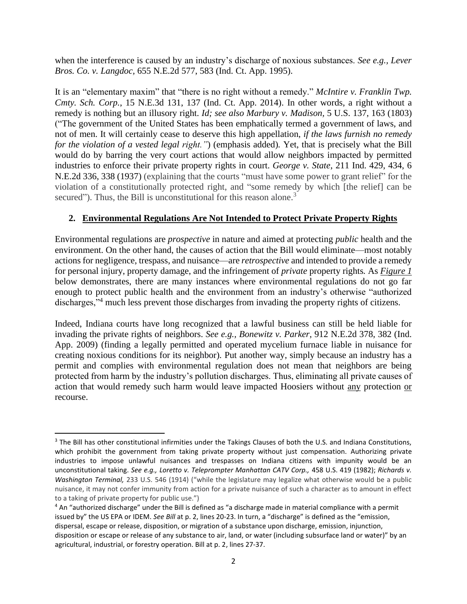when the interference is caused by an industry's discharge of noxious substances. *See e.g., Lever Bros. Co. v. Langdoc,* 655 N.E.2d 577, 583 (Ind. Ct. App. 1995).

It is an "elementary maxim" that "there is no right without a remedy." *McIntire v. Franklin Twp. Cmty. Sch. Corp.*, 15 N.E.3d 131, 137 (Ind. Ct. App. 2014). In other words, a right without a remedy is nothing but an illusory right. *Id; see also Marbury v. Madison,* 5 U.S. 137, 163 (1803) ("The government of the United States has been emphatically termed a government of laws, and not of men. It will certainly cease to deserve this high appellation, *if the laws furnish no remedy for the violation of a vested legal right."*) (emphasis added)*.* Yet, that is precisely what the Bill would do by barring the very court actions that would allow neighbors impacted by permitted industries to enforce their private property rights in court. *George v. State*, 211 Ind. 429, 434, 6 N.E.2d 336, 338 (1937) (explaining that the courts "must have some power to grant relief" for the violation of a constitutionally protected right, and "some remedy by which [the relief] can be secured"). Thus, the Bill is unconstitutional for this reason alone.<sup>3</sup>

# **2. Environmental Regulations Are Not Intended to Protect Private Property Rights**

Environmental regulations are *prospective* in nature and aimed at protecting *public* health and the environment. On the other hand, the causes of action that the Bill would eliminate—most notably actions for negligence, trespass, and nuisance—are *retrospective* and intended to provide a remedy for personal injury, property damage, and the infringement of *private* property rights*.* As *Figure 1* below demonstrates, there are many instances where environmental regulations do not go far enough to protect public health and the environment from an industry's otherwise "authorized discharges,"<sup>4</sup> much less prevent those discharges from invading the property rights of citizens.

Indeed, Indiana courts have long recognized that a lawful business can still be held liable for invading the private rights of neighbors. *See e.g., Bonewitz v. Parker*, 912 N.E.2d 378, 382 (Ind. App. 2009) (finding a legally permitted and operated mycelium furnace liable in nuisance for creating noxious conditions for its neighbor)*.* Put another way, simply because an industry has a permit and complies with environmental regulation does not mean that neighbors are being protected from harm by the industry's pollution discharges. Thus, eliminating all private causes of action that would remedy such harm would leave impacted Hoosiers without any protection or recourse.

<sup>&</sup>lt;sup>3</sup> The Bill has other constitutional infirmities under the Takings Clauses of both the U.S. and Indiana Constitutions, which prohibit the government from taking private property without just compensation. Authorizing private industries to impose unlawful nuisances and trespasses on Indiana citizens with impunity would be an unconstitutional taking. *See e.g., Loretto v. Teleprompter Manhattan CATV Corp.,* 458 U.S. 419 (1982); *Richards v. Washington Terminal,* 233 U.S. 546 (1914) ("while the legislature may legalize what otherwise would be a public nuisance, it may not confer immunity from action for a private nuisance of such a character as to amount in effect to a taking of private property for public use.")

<sup>4</sup> An "authorized discharge" under the Bill is defined as "a discharge made in material compliance with a permit issued by" the US EPA or IDEM. *See Bill* at p. 2, lines 20-23. In turn, a "discharge" is defined as the "emission, dispersal, escape or release, disposition, or migration of a substance upon discharge, emission, injunction, disposition or escape or release of any substance to air, land, or water (including subsurface land or water)" by an agricultural, industrial, or forestry operation. Bill at p. 2, lines 27-37.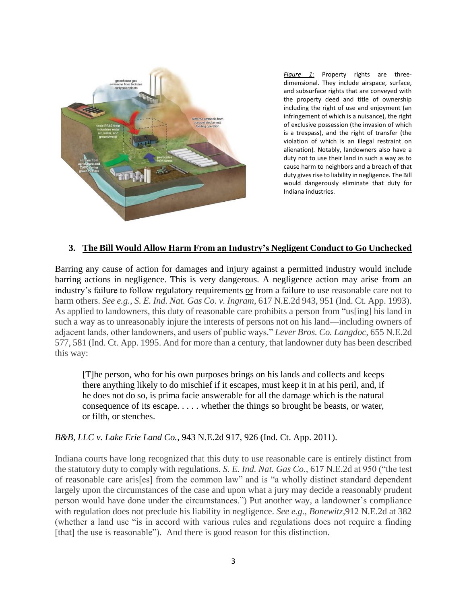

*Figure 1:* Property rights are threedimensional. They include airspace, surface, and subsurface rights that are conveyed with the property deed and title of ownership including the right of use and enjoyment (an infringement of which is a nuisance), the right of exclusive possession (the invasion of which is a trespass), and the right of transfer (the violation of which is an illegal restraint on alienation)*.* Notably, landowners also have a duty not to use their land in such a way as to cause harm to neighbors and a breach of that duty gives rise to liability in negligence. The Bill would dangerously eliminate that duty for Indiana industries.

### **3. The Bill Would Allow Harm From an Industry's Negligent Conduct to Go Unchecked**

Barring any cause of action for damages and injury against a permitted industry would include barring actions in negligence. This is very dangerous. A negligence action may arise from an industry's failure to follow regulatory requirements or from a failure to use reasonable care not to harm others. *See e.g., S. E. Ind. Nat. Gas Co. v. Ingram*, 617 N.E.2d 943, 951 (Ind. Ct. App. 1993). As applied to landowners, this duty of reasonable care prohibits a person from "us[ing] his land in such a way as to unreasonably injure the interests of persons not on his land—including owners of adjacent lands, other landowners, and users of public ways." *Lever Bros. Co. Langdoc,* 655 N.E.2d 577, 581 (Ind. Ct. App. 1995. And for more than a century, that landowner duty has been described this way:

[T]he person, who for his own purposes brings on his lands and collects and keeps there anything likely to do mischief if it escapes, must keep it in at his peril, and, if he does not do so, is prima facie answerable for all the damage which is the natural consequence of its escape. . . . . whether the things so brought be beasts, or water, or filth, or stenches.

#### *B&B, LLC v. Lake Erie Land Co.*, 943 N.E.2d 917, 926 (Ind. Ct. App. 2011).

Indiana courts have long recognized that this duty to use reasonable care is entirely distinct from the statutory duty to comply with regulations. *S. E. Ind. Nat. Gas Co.*, 617 N.E.2d at 950 ("the test of reasonable care aris[es] from the common law" and is "a wholly distinct standard dependent largely upon the circumstances of the case and upon what a jury may decide a reasonably prudent person would have done under the circumstances.") Put another way, a landowner's compliance with regulation does not preclude his liability in negligence. *See e.g., Bonewitz,*912 N.E.2d at 382 (whether a land use "is in accord with various rules and regulations does not require a finding [that] the use is reasonable"). And there is good reason for this distinction.